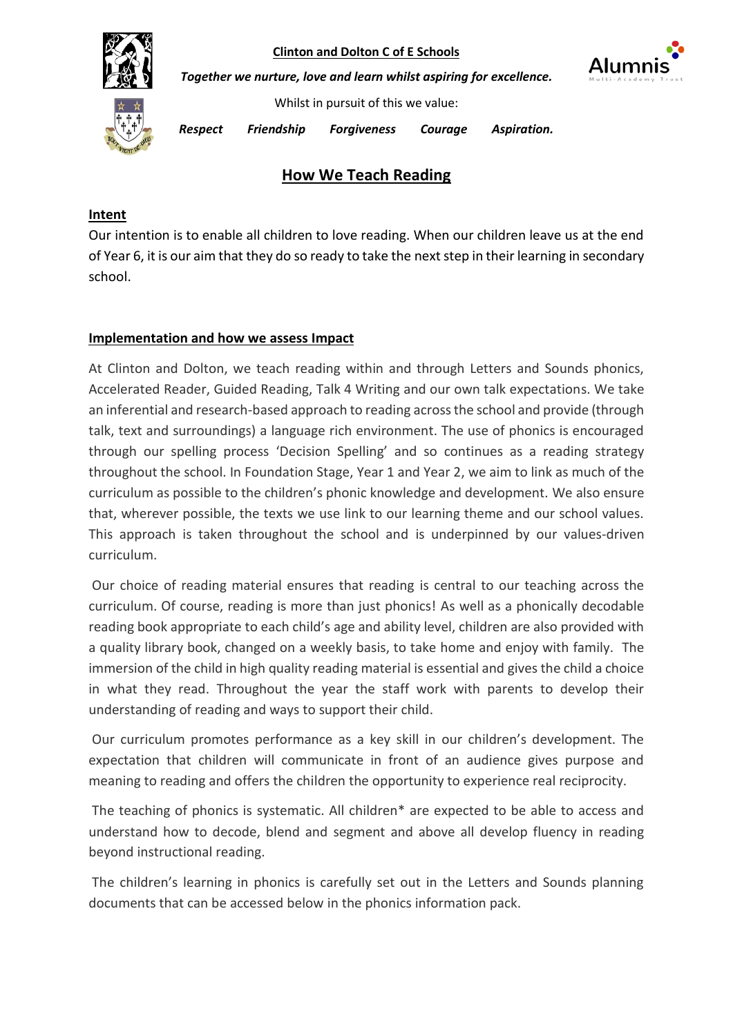

*Together we nurture, love and learn whilst aspiring for excellence.*



Whilst in pursuit of this we value:

*Respect Friendship Forgiveness Courage Aspiration.* 

# **How We Teach Reading**

# **Intent**

Our intention is to enable all children to love reading. When our children leave us at the end of Year 6, it is our aim that they do so ready to take the next step in their learning in secondary school.

## **Implementation and how we assess Impact**

At Clinton and Dolton, we teach reading within and through Letters and Sounds phonics, Accelerated Reader, Guided Reading, Talk 4 Writing and our own talk expectations. We take an inferential and research-based approach to reading across the school and provide (through talk, text and surroundings) a language rich environment. The use of phonics is encouraged through our spelling process 'Decision Spelling' and so continues as a reading strategy throughout the school. In Foundation Stage, Year 1 and Year 2, we aim to link as much of the curriculum as possible to the children's phonic knowledge and development. We also ensure that, wherever possible, the texts we use link to our learning theme and our school values. This approach is taken throughout the school and is underpinned by our values-driven curriculum.

Our choice of reading material ensures that reading is central to our teaching across the curriculum. Of course, reading is more than just phonics! As well as a phonically decodable reading book appropriate to each child's age and ability level, children are also provided with a quality library book, changed on a weekly basis, to take home and enjoy with family. The immersion of the child in high quality reading material is essential and gives the child a choice in what they read. Throughout the year the staff work with parents to develop their understanding of reading and ways to support their child.

Our curriculum promotes performance as a key skill in our children's development. The expectation that children will communicate in front of an audience gives purpose and meaning to reading and offers the children the opportunity to experience real reciprocity.

The teaching of phonics is systematic. All children\* are expected to be able to access and understand how to decode, blend and segment and above all develop fluency in reading beyond instructional reading.

The children's learning in phonics is carefully set out in the Letters and Sounds planning documents that can be accessed below in the phonics information pack.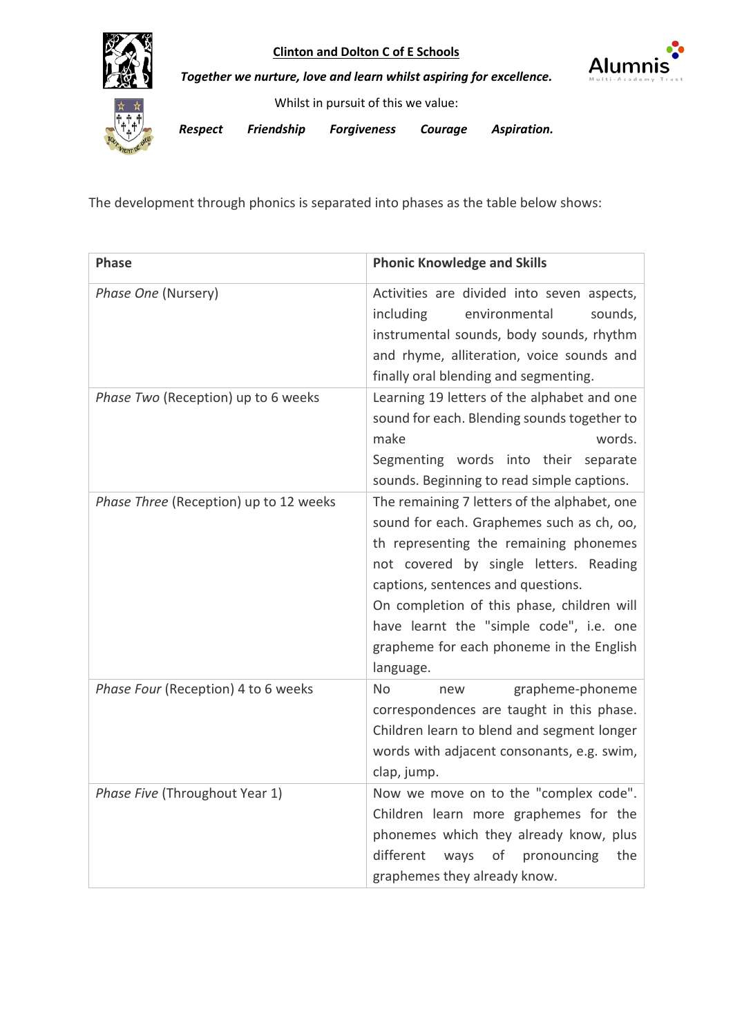



*Together we nurture, love and learn whilst aspiring for excellence.*

Whilst in pursuit of this we value:

*Respect Friendship Forgiveness Courage Aspiration.* 

The development through phonics is separated into phases as the table below shows:

| <b>Phase</b>                           | <b>Phonic Knowledge and Skills</b>                                                                                                                                                                                                                                                                                                                                    |
|----------------------------------------|-----------------------------------------------------------------------------------------------------------------------------------------------------------------------------------------------------------------------------------------------------------------------------------------------------------------------------------------------------------------------|
| Phase One (Nursery)                    | Activities are divided into seven aspects,<br>including<br>environmental<br>sounds,<br>instrumental sounds, body sounds, rhythm<br>and rhyme, alliteration, voice sounds and<br>finally oral blending and segmenting.                                                                                                                                                 |
| Phase Two (Reception) up to 6 weeks    | Learning 19 letters of the alphabet and one<br>sound for each. Blending sounds together to<br>make<br>words.<br>Segmenting words into their<br>separate<br>sounds. Beginning to read simple captions.                                                                                                                                                                 |
| Phase Three (Reception) up to 12 weeks | The remaining 7 letters of the alphabet, one<br>sound for each. Graphemes such as ch, oo,<br>th representing the remaining phonemes<br>not covered by single letters. Reading<br>captions, sentences and questions.<br>On completion of this phase, children will<br>have learnt the "simple code", i.e. one<br>grapheme for each phoneme in the English<br>language. |
| Phase Four (Reception) 4 to 6 weeks    | No.<br>grapheme-phoneme<br>new<br>correspondences are taught in this phase.<br>Children learn to blend and segment longer<br>words with adjacent consonants, e.g. swim,<br>clap, jump.                                                                                                                                                                                |
| Phase Five (Throughout Year 1)         | Now we move on to the "complex code".<br>Children learn more graphemes for the<br>phonemes which they already know, plus<br>different<br>of<br>pronouncing<br>the<br>ways<br>graphemes they already know.                                                                                                                                                             |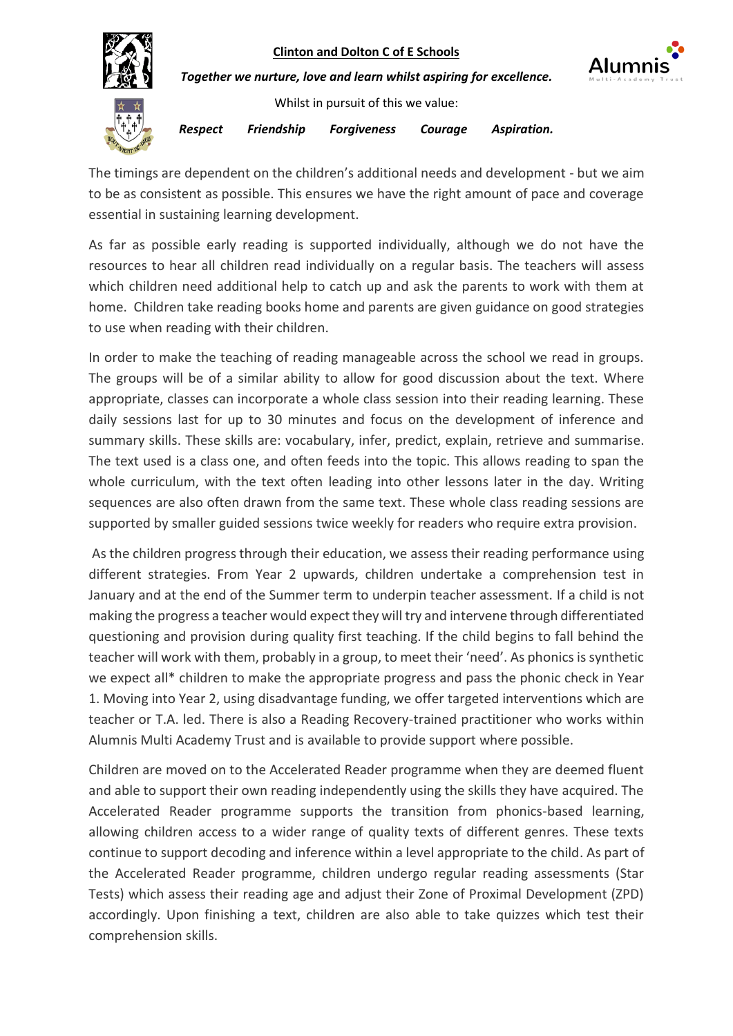

*Together we nurture, love and learn whilst aspiring for excellence.*



Whilst in pursuit of this we value:

*Respect Friendship Forgiveness Courage Aspiration.* 

The timings are dependent on the children's additional needs and development - but we aim to be as consistent as possible. This ensures we have the right amount of pace and coverage essential in sustaining learning development.

As far as possible early reading is supported individually, although we do not have the resources to hear all children read individually on a regular basis. The teachers will assess which children need additional help to catch up and ask the parents to work with them at home. Children take reading books home and parents are given guidance on good strategies to use when reading with their children.

In order to make the teaching of reading manageable across the school we read in groups. The groups will be of a similar ability to allow for good discussion about the text. Where appropriate, classes can incorporate a whole class session into their reading learning. These daily sessions last for up to 30 minutes and focus on the development of inference and summary skills. These skills are: vocabulary, infer, predict, explain, retrieve and summarise. The text used is a class one, and often feeds into the topic. This allows reading to span the whole curriculum, with the text often leading into other lessons later in the day. Writing sequences are also often drawn from the same text. These whole class reading sessions are supported by smaller guided sessions twice weekly for readers who require extra provision.

As the children progress through their education, we assess their reading performance using different strategies. From Year 2 upwards, children undertake a comprehension test in January and at the end of the Summer term to underpin teacher assessment. If a child is not making the progress a teacher would expect they will try and intervene through differentiated questioning and provision during quality first teaching. If the child begins to fall behind the teacher will work with them, probably in a group, to meet their 'need'. As phonics is synthetic we expect all\* children to make the appropriate progress and pass the phonic check in Year 1. Moving into Year 2, using disadvantage funding, we offer targeted interventions which are teacher or T.A. led. There is also a Reading Recovery-trained practitioner who works within Alumnis Multi Academy Trust and is available to provide support where possible.

Children are moved on to the Accelerated Reader programme when they are deemed fluent and able to support their own reading independently using the skills they have acquired. The Accelerated Reader programme supports the transition from phonics-based learning, allowing children access to a wider range of quality texts of different genres. These texts continue to support decoding and inference within a level appropriate to the child. As part of the Accelerated Reader programme, children undergo regular reading assessments (Star Tests) which assess their reading age and adjust their Zone of Proximal Development (ZPD) accordingly. Upon finishing a text, children are also able to take quizzes which test their comprehension skills.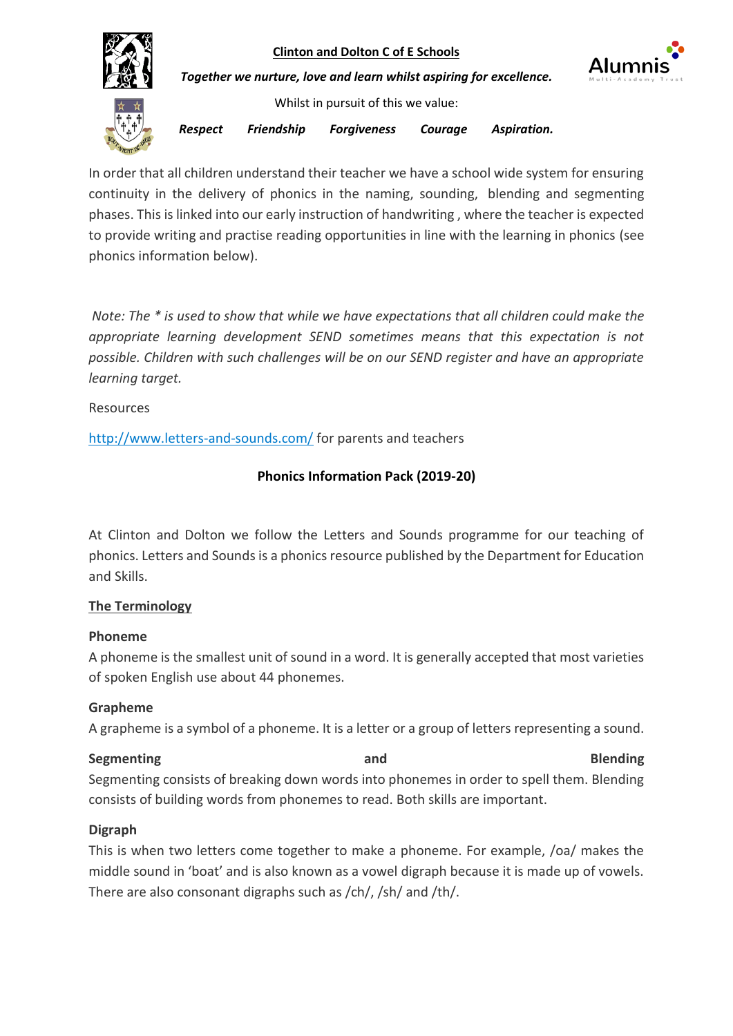

In order that all children understand their teacher we have a school wide system for ensuring continuity in the delivery of phonics in the naming, sounding, blending and segmenting phases. This is linked into our early instruction of handwriting , where the teacher is expected to provide writing and practise reading opportunities in line with the learning in phonics (see phonics information below).

*Note: The \* is used to show that while we have expectations that all children could make the appropriate learning development SEND sometimes means that this expectation is not possible. Children with such challenges will be on our SEND register and have an appropriate learning target.*

Resources

<http://www.letters-and-sounds.com/> for parents and teachers

# **Phonics Information Pack (2019-20)**

At Clinton and Dolton we follow the Letters and Sounds programme for our teaching of phonics. Letters and Sounds is a phonics resource published by the Department for Education and Skills.

# **The Terminology**

# **Phoneme**

A phoneme is the smallest unit of sound in a word. It is generally accepted that most varieties of spoken English use about 44 phonemes.

# **Grapheme**

A grapheme is a symbol of a phoneme. It is a letter or a group of letters representing a sound.

**Segmenting and Blending Segmenting and Segmenting and Blending** Segmenting consists of breaking down words into phonemes in order to spell them. Blending consists of building words from phonemes to read. Both skills are important.

# **Digraph**

This is when two letters come together to make a phoneme. For example, /oa/ makes the middle sound in 'boat' and is also known as a vowel digraph because it is made up of vowels. There are also consonant digraphs such as /ch/, /sh/ and /th/.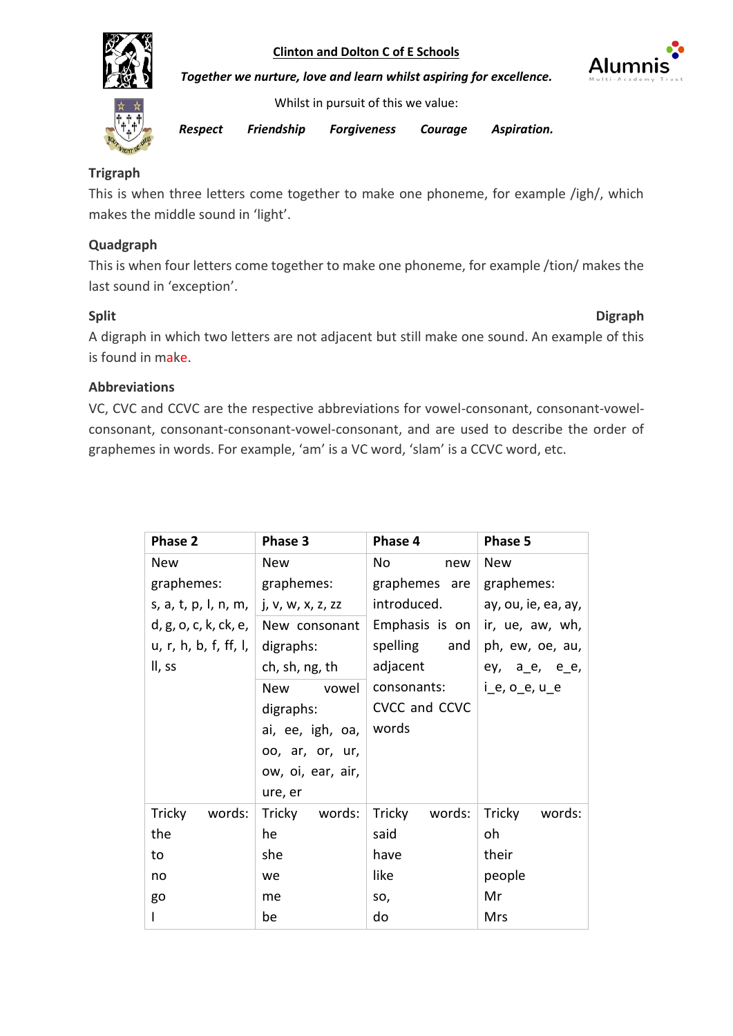



*Together we nurture, love and learn whilst aspiring for excellence.*

Whilst in pursuit of this we value:

*Respect Friendship Forgiveness Courage Aspiration.* 

# **Trigraph**

This is when three letters come together to make one phoneme, for example /igh/, which makes the middle sound in 'light'.

# **Quadgraph**

This is when four letters come together to make one phoneme, for example /tion/ makes the last sound in 'exception'.

# **Split** Digraph

A digraph in which two letters are not adjacent but still make one sound. An example of this is found in make.

## **Abbreviations**

VC, CVC and CCVC are the respective abbreviations for vowel-consonant, consonant-vowelconsonant, consonant-consonant-vowel-consonant, and are used to describe the order of graphemes in words. For example, 'am' is a VC word, 'slam' is a CCVC word, etc.

| Phase 2                           | Phase 3             | Phase 4          | Phase 5               |
|-----------------------------------|---------------------|------------------|-----------------------|
| <b>New</b>                        | <b>New</b>          | No<br>new        | <b>New</b>            |
| graphemes:                        | graphemes:          | graphemes are    | graphemes:            |
| s, a, t, p, l, n, m, $ $          | j, v, w, x, z, zz   | introduced.      | ay, ou, ie, ea, ay,   |
| d, g, o, c, k, ck, e, $\parallel$ | New consonant       | Emphasis is on   | ir, ue, aw, wh,       |
| u, r, h, b, f, ff, I,             | digraphs:           | spelling<br>and  | ph, ew, oe, au,       |
| II, ss                            | ch, sh, ng, th      | adjacent         | ey, a_e, e_e,         |
|                                   | <b>New</b><br>vowel | consonants:      | $i_e$ , $o_e$ , $u_e$ |
|                                   | digraphs:           | CVCC and CCVC    |                       |
|                                   | ai, ee, igh, oa,    | words            |                       |
|                                   | oo, ar, or, ur,     |                  |                       |
|                                   | ow, oi, ear, air,   |                  |                       |
|                                   | ure, er             |                  |                       |
| Tricky<br>words:                  | Tricky<br>words:    | Tricky<br>words: | Tricky<br>words:      |
| the                               | he                  | said             | oh                    |
| to                                | she                 | have             | their                 |
| no                                | we                  | like             | people                |
| go                                | me                  | SO,              | Mr                    |
|                                   | be                  | do               | Mrs                   |